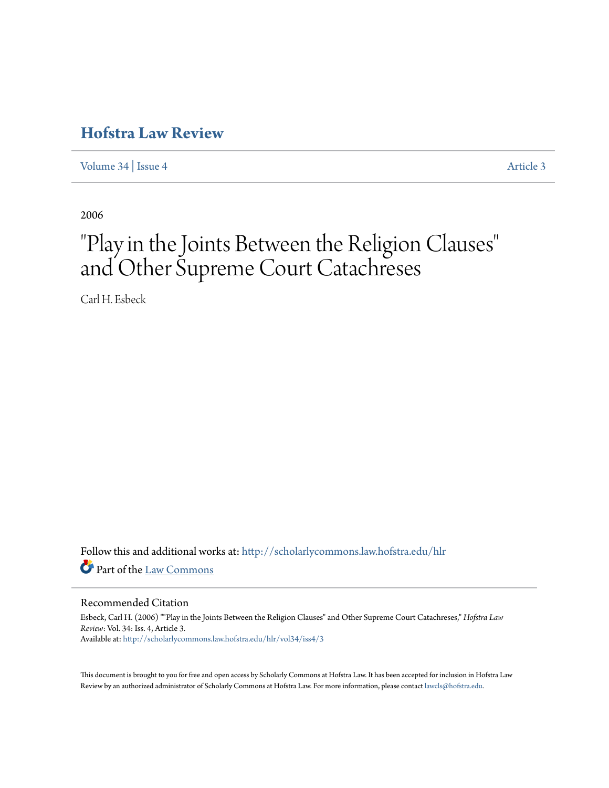## **[Hofstra Law Review](http://scholarlycommons.law.hofstra.edu/hlr?utm_source=scholarlycommons.law.hofstra.edu%2Fhlr%2Fvol34%2Fiss4%2F3&utm_medium=PDF&utm_campaign=PDFCoverPages)**

[Volume 34](http://scholarlycommons.law.hofstra.edu/hlr/vol34?utm_source=scholarlycommons.law.hofstra.edu%2Fhlr%2Fvol34%2Fiss4%2F3&utm_medium=PDF&utm_campaign=PDFCoverPages) | [Issue 4](http://scholarlycommons.law.hofstra.edu/hlr/vol34/iss4?utm_source=scholarlycommons.law.hofstra.edu%2Fhlr%2Fvol34%2Fiss4%2F3&utm_medium=PDF&utm_campaign=PDFCoverPages) [Article 3](http://scholarlycommons.law.hofstra.edu/hlr/vol34/iss4/3?utm_source=scholarlycommons.law.hofstra.edu%2Fhlr%2Fvol34%2Fiss4%2F3&utm_medium=PDF&utm_campaign=PDFCoverPages)

2006

# "Play in the Joints Between the Religion Clauses " and Other Supreme Court Catachreses

Carl H. Esbeck

Follow this and additional works at: [http://scholarlycommons.law.hofstra.edu/hlr](http://scholarlycommons.law.hofstra.edu/hlr?utm_source=scholarlycommons.law.hofstra.edu%2Fhlr%2Fvol34%2Fiss4%2F3&utm_medium=PDF&utm_campaign=PDFCoverPages) Part of the [Law Commons](http://network.bepress.com/hgg/discipline/578?utm_source=scholarlycommons.law.hofstra.edu%2Fhlr%2Fvol34%2Fiss4%2F3&utm_medium=PDF&utm_campaign=PDFCoverPages)

#### Recommended Citation

Esbeck, Carl H. (2006) ""Play in the Joints Between the Religion Clauses" and Other Supreme Court Catachreses," *Hofstra Law Review*: Vol. 34: Iss. 4, Article 3. Available at: [http://scholarlycommons.law.hofstra.edu/hlr/vol34/iss4/3](http://scholarlycommons.law.hofstra.edu/hlr/vol34/iss4/3?utm_source=scholarlycommons.law.hofstra.edu%2Fhlr%2Fvol34%2Fiss4%2F3&utm_medium=PDF&utm_campaign=PDFCoverPages)

This document is brought to you for free and open access by Scholarly Commons at Hofstra Law. It has been accepted for inclusion in Hofstra Law Review by an authorized administrator of Scholarly Commons at Hofstra Law. For more information, please contact [lawcls@hofstra.edu](mailto:lawcls@hofstra.edu).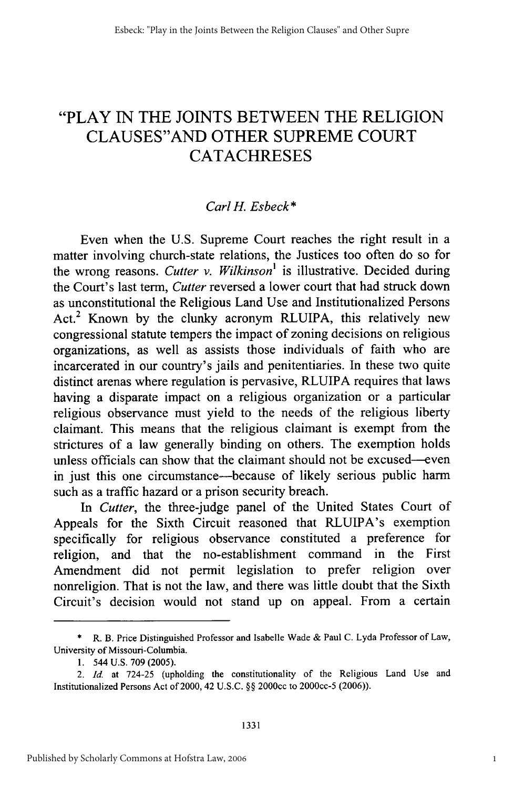### "PLAY IN THE JOINTS BETWEEN THE RELIGION CLAUSES"AND OTHER SUPREME COURT **CATACHRESES**

#### *Carl H. Esbeck\**

Even when the U.S. Supreme Court reaches the right result in a matter involving church-state relations, the Justices too often do so for the wrong reasons. *Cutter v. Wilkinson'* is illustrative. Decided during the Court's last term, *Cutter* reversed a lower court that had struck down as unconstitutional the Religious Land Use and Institutionalized Persons Act.<sup>2</sup> Known by the clunky acronym RLUIPA, this relatively new congressional statute tempers the impact of zoning decisions on religious organizations, as well as assists those individuals of faith who are incarcerated in our country's jails and penitentiaries. In these two quite distinct arenas where regulation is pervasive, RLUIPA requires that laws having a disparate impact on a religious organization or a particular religious observance must yield to the needs of the religious liberty claimant. This means that the religious claimant is exempt from the strictures of a law generally binding on others. The exemption holds unless officials can show that the claimant should not be excused--even in just this one circumstance—because of likely serious public harm such as a traffic hazard or a prison security breach.

*In Cutter,* the three-judge panel of the United States Court of Appeals for the Sixth Circuit reasoned that RLUIPA's exemption specifically for religious observance constituted a preference for religion, and that the no-establishment command in the First Amendment did not permit legislation to prefer religion over nonreligion. That is not the law, and there was little doubt that the Sixth Circuit's decision would not stand up on appeal. From a certain

<sup>\*</sup> R. B. Price Distinguished Professor and Isabelle Wade & Paul C. Lyda Professor of Law, University of Missouri-Columbia.

<sup>1. 544</sup> U.S. 709 (2005).

<sup>2.</sup> *Id.* at 724-25 (upholding the constitutionality of the Religious Land Use and Institutionalized Persons Act of 2000, 42 U.S.C. §§ 2000cc to 2000cc-5 (2006)).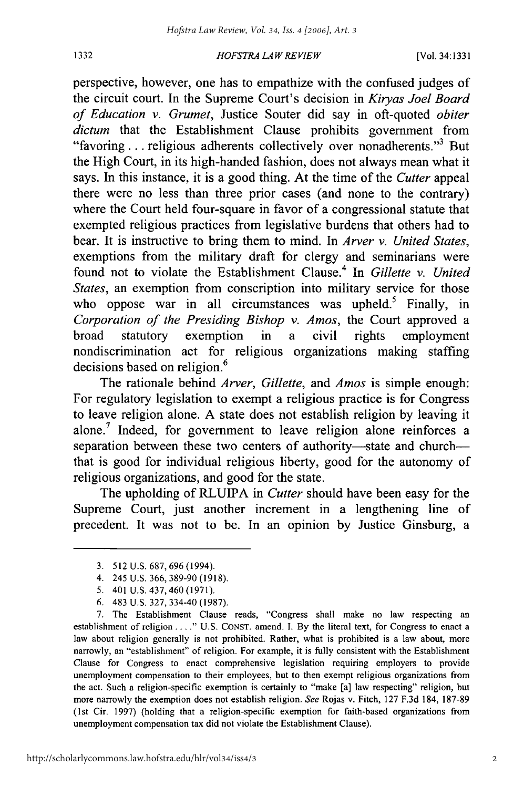#### *HOFSTRA LA W REVIEW*

perspective, however, one has to empathize with the confused judges of the circuit court. In the Supreme Court's decision in *Kiryas Joel Board of Education v. Grumet,* Justice Souter did say in oft-quoted *obiter dictum* that the Establishment Clause prohibits government from "favoring ... religious adherents collectively over nonadherents."<sup>3</sup> But the High Court, in its high-handed fashion, does not always mean what it says. In this instance, it is a good thing. At the time of the *Cutter* appeal there were no less than three prior cases (and none to the contrary) where the Court held four-square in favor of a congressional statute that exempted religious practices from legislative burdens that others had to bear. It is instructive to bring them to mind. In *Arver v. United States,* exemptions from the military draft for clergy and seminarians were found not to violate the Establishment Clause.4 In *Gillette v. United States,* an exemption from conscription into military service for those who oppose war in all circumstances was upheld.<sup>5</sup> Finally, in *Corporation of the Presiding Bishop v. Amos,* the Court approved a broad statutory exemption in a civil rights employment nondiscrimination act for religious organizations making staffing decisions based on religion.<sup>6</sup>

The rationale behind *Arver, Gillette,* and *Amos* is simple enough: For regulatory legislation to exempt a religious practice is for Congress to leave religion alone. A state does not establish religion by leaving it alone.<sup>7</sup> Indeed, for government to leave religion alone reinforces a separation between these two centers of authority-state and churchthat is good for individual religious liberty, good for the autonomy of religious organizations, and good for the state.

The upholding of RLUIPA in *Cutter* should have been easy for the Supreme Court, just another increment in a lengthening line of precedent. It was not to be. In an opinion by Justice Ginsburg, a

1332

<sup>3. 512</sup> U.S. 687, 696 (1994).

<sup>4. 245</sup> U.S. 366, 389-90 (1918).

<sup>5. 401</sup> U.S. 437, 460 (1971).

<sup>6. 483</sup> U.S. 327, 334-40 (1987).

<sup>7.</sup> The Establishment Clause reads, "Congress shall make no law respecting an establishment of religion **.. "** U.S. CONST. amend. **1.** By the literal text, for Congress to enact a law about religion generally is not prohibited. Rather, what is prohibited is a law about, more narrowly, an "establishment" of religion. For example, it is fully consistent with the Establishment Clause for Congress to enact comprehensive legislation requiring employers to provide unemployment compensation to their employees, but to then exempt religious organizations from the act. Such a religion-specific exemption is certainly to "make [a] law respecting" religion, but more narrowly the exemption does not establish religion. See Rojas v. Fitch, 127 F.3d 184, 187-89 (lst Cir. 1997) (holding that a religion-specific exemption for faith-based organizations from unemployment compensation tax did not violate the Establishment Clause).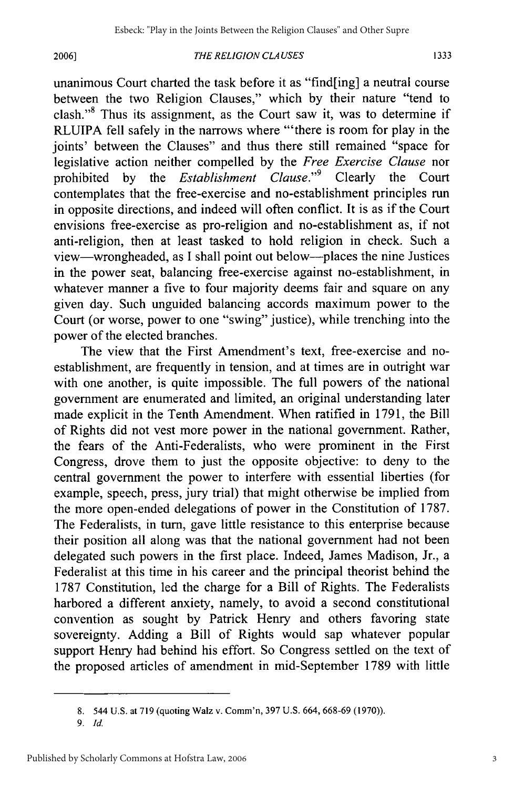#### **2006]**

#### *THE RELIGION CLA USES*

unanimous Court charted the task before it as "find[ing] a neutral course between the two Religion Clauses," which by their nature "tend to clash."8 Thus its assignment, as the Court saw it, was to determine if RLUIPA fell safely in the narrows where "'there is room for play in the joints' between the Clauses" and thus there still remained "space for legislative action neither compelled by the *Free Exercise Clause* nor prohibited by the *Establishment Clause."9* Clearly the Court contemplates that the free-exercise and no-establishment principles run in opposite directions, and indeed will often conflict. It is as if the Court envisions free-exercise as pro-religion and no-establishment as, if not anti-religion, then at least tasked to hold religion in check. Such a view-wrongheaded, as I shall point out below-places the nine Justices in the power seat, balancing free-exercise against no-establishment, in whatever manner a five to four majority deems fair and square on any given day. Such unguided balancing accords maximum power to the Court (or worse, power to one "swing" justice), while trenching into the power of the elected branches.

The view that the First Amendment's text, free-exercise and noestablishment, are frequently in tension, and at times are in outright war with one another, is quite impossible. The full powers of the national government are enumerated and limited, an original understanding later made explicit in the Tenth Amendment. When ratified in 1791, the Bill of Rights did not vest more power in the national government. Rather, the fears of the Anti-Federalists, who were prominent in the First Congress, drove them to just the opposite objective: to deny to the central government the power to interfere with essential liberties (for example, speech, press, jury trial) that might otherwise be implied from the more open-ended delegations of power in the Constitution of 1787. The Federalists, in turn, gave little resistance to this enterprise because their position all along was that the national government had not been delegated such powers in the first place. Indeed, James Madison, Jr., a Federalist at this time in his career and the principal theorist behind the 1787 Constitution, led the charge for a Bill of Rights. The Federalists harbored a different anxiety, namely, to avoid a second constitutional convention as sought by Patrick Henry and others favoring state sovereignty. Adding a Bill of Rights would sap whatever popular support Henry had behind his effort. So Congress settled on the text of the proposed articles of amendment in mid-September 1789 with little

3

<sup>8. 544</sup> U.S. at 719 (quoting Walz v. Comm'n, 397 U.S. 664, 668-69 (1970)).

**<sup>9.</sup>** *Id.*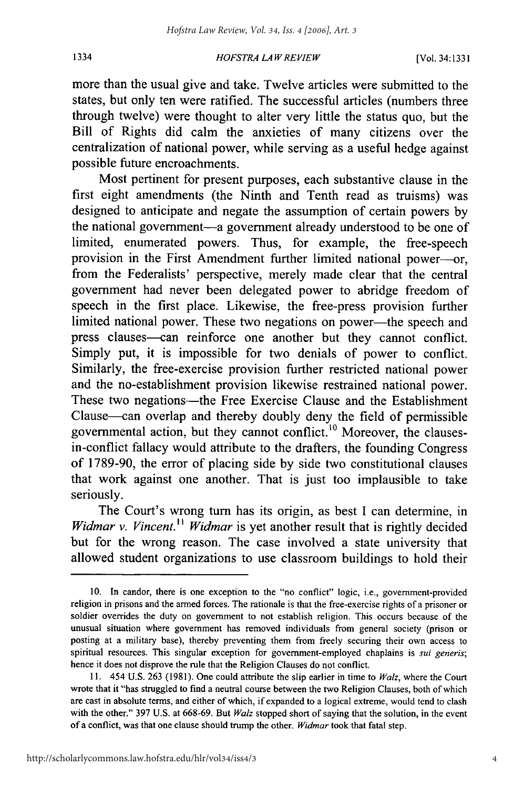#### *HOFSTRA LA W REVIEW*

more than the usual give and take. Twelve articles were submitted to the states, but only ten were ratified. The successful articles (numbers three through twelve) were thought to alter very little the status quo, but the Bill of Rights did calm the anxieties of many citizens over the centralization of national power, while serving as a useful hedge against possible future encroachments.

Most pertinent for present purposes, each substantive clause in the first eight amendments (the Ninth and Tenth read as truisms) was designed to anticipate and negate the assumption of certain powers **by** the national government-a government already understood to be one of limited, enumerated powers. Thus, for example, the free-speech provision in the First Amendment further limited national power---or, from the Federalists' perspective, merely made clear that the central government had never been delegated power to abridge freedom of speech in the first place. Likewise, the free-press provision further limited national power. These two negations on power—the speech and press clauses-can reinforce one another but they cannot conflict. Simply put, it is impossible for two denials of power to conflict. Similarly, the free-exercise provision further restricted national power and the no-establishment provision likewise restrained national power. These two negations—the Free Exercise Clause and the Establishment Clause-can overlap and thereby doubly deny the field of permissible governmental action, but they cannot conflict.<sup>10</sup> Moreover, the clausesin-conflict fallacy would attribute to the drafters, the founding Congress of **1789-90,** the error of placing side **by** side two constitutional clauses that work against one another. That is just too implausible to take seriously.

The Court's wrong turn has its origin, as best **I** can determine, in *Widmar v. Vincent." Widmar* is yet another result that is rightly decided but for the wrong reason. The case involved a state university that allowed student organizations to use classroom buildings to hold their

**<sup>10.</sup>** In candor, there is one exception to the "no conflict" logic, i.e., government-provided religion in prisons and the armed forces. The rationale is that the free-exercise rights of a prisoner or soldier overrides the duty on government to not establish religion. This occurs because of the unusual situation where government has removed individuals from general society (prison or posting at a military base), thereby preventing them from freely securing their own access to spiritual resources. This singular exception for government-employed chaplains is *sui* generis; hence it does not disprove the rule that the Religion Clauses do not conflict.

**<sup>11.</sup>** 454 **U.S. 263 (1981).** One could attribute the slip earlier in time to *Walz,* where the Court wrote that it "has struggled to find a neutral course between the two Religion Clauses, both of which are cast in absolute terms, and either of which, if expanded to a logical extreme, would tend to clash with the other." **397 U.S.** at **668-69.** But *Walz* stopped short of saying that the solution, in the event of a conflict, was that one clause should trump the other. *Widmar* took that fatal step.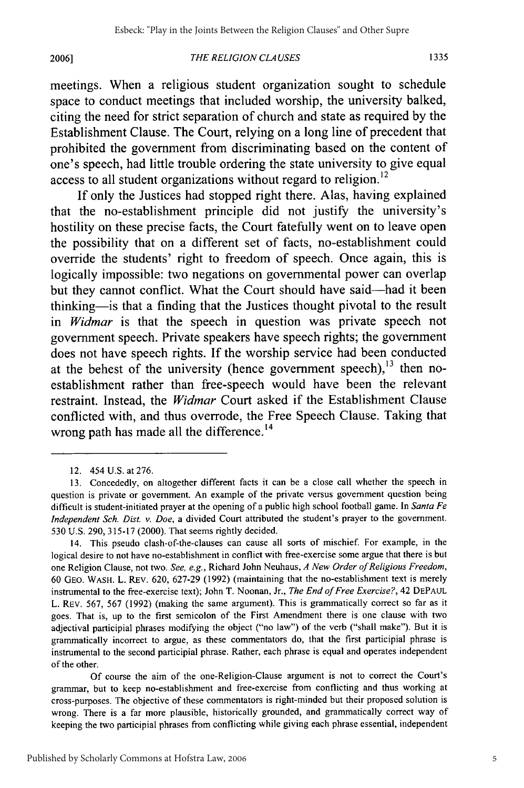#### *THE RELIGION CLA USES*

meetings. When a religious student organization sought to schedule space to conduct meetings that included worship, the university balked, citing the need for strict separation of church and state as required by the Establishment Clause. The Court, relying on a long line of precedent that prohibited the government from discriminating based on the content of one's speech, had little trouble ordering the state university to give equal access to all student organizations without regard to religion.<sup>12</sup>

If only the Justices had stopped right there. Alas, having explained that the no-establishment principle did not justify the university's hostility on these precise facts, the Court fatefully went on to leave open the possibility that on a different set of facts, no-establishment could override the students' right to freedom of speech. Once again, this is logically impossible: two negations on governmental power can overlap but they cannot conflict. What the Court should have said-had it been thinking-is that a finding that the Justices thought pivotal to the result in *Widmar* is that the speech in question was private speech not government speech. Private speakers have speech rights; the government does not have speech rights. If the worship service had been conducted at the behest of the university (hence government speech), $^{13}$  then noestablishment rather than free-speech would have been the relevant restraint. Instead, the *Widmar* Court asked if the Establishment Clause conflicted with, and thus overrode, the Free Speech Clause. Taking that wrong path has made all the difference.<sup>14</sup>

Of course the aim of the one-Religion-Clause argument is not to correct the Court's grammar, but to keep no-establishment and free-exercise from conflicting and thus working at cross-purposes. The objective of these commentators is right-minded but their proposed solution is wrong. There is a far more plausible, historically grounded, and grammatically correct way of keeping the two participial phrases from conflicting while giving each phrase essential, independent

5

<sup>12. 454</sup> U.S. at 276.

<sup>13.</sup> Concededly, on altogether different facts it can be a close call whether the speech in question is private or government. An example of the private versus government question being difficult is student-initiated prayer at the opening of a public high school football game. In *Santa Fe Independent Sch. Dist. v. Doe,* a divided Court attributed the student's prayer to the government. 530 U.S. 290, 315-17 (2000). That seems rightly decided.

<sup>14.</sup> This pseudo clash-of-the-clauses can cause all sorts of mischief. For example, in the logical desire to not have no-establishment in conflict with free-exercise some argue that there is but one Religion Clause, not two. *See, e.g.,* Richard John Neuhaus, *A New Order of Religious Freedom,* 60 GEO. WASH. L. REV. 620, 627-29 (1992) (maintaining that the no-establishment text is merely instrumental to the free-exercise text); John T. Noonan, Jr., *The End of Free Exercise?,* 42 **DEPAUL** L. REV. 567, 567 (1992) (making the same argument). This is grammatically correct so far as it goes. That is, up to the first semicolon of the First Amendment there is one clause with two adjectival participial phrases modifying the object ("no law") of the verb ("shall make"). But it is grammatically incorrect to argue, as these commentators do, that the first participial phrase is instrumental to the second participial phrase. Rather, each phrase is equal and operates independent of the other.